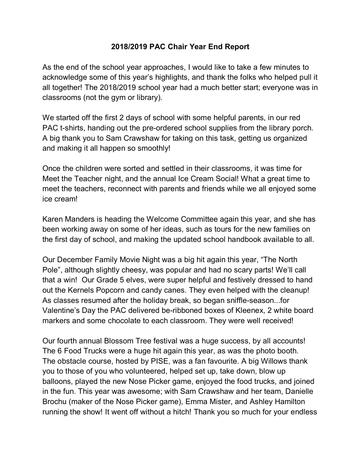## **2018/2019 PAC Chair Year End Report**

As the end of the school year approaches, I would like to take a few minutes to acknowledge some of this year's highlights, and thank the folks who helped pull it all together! The 2018/2019 school year had a much better start; everyone was in classrooms (not the gym or library).

We started off the first 2 days of school with some helpful parents, in our red PAC t-shirts, handing out the pre-ordered school supplies from the library porch. A big thank you to Sam Crawshaw for taking on this task, getting us organized and making it all happen so smoothly!

Once the children were sorted and settled in their classrooms, it was time for Meet the Teacher night, and the annual Ice Cream Social! What a great time to meet the teachers, reconnect with parents and friends while we all enjoyed some ice cream!

Karen Manders is heading the Welcome Committee again this year, and she has been working away on some of her ideas, such as tours for the new families on the first day of school, and making the updated school handbook available to all.

Our December Family Movie Night was a big hit again this year, "The North Pole", although slightly cheesy, was popular and had no scary parts! We'll call that a win! Our Grade 5 elves, were super helpful and festively dressed to hand out the Kernels Popcorn and candy canes. They even helped with the cleanup! As classes resumed after the holiday break, so began sniffle-season...for Valentine's Day the PAC delivered be-ribboned boxes of Kleenex, 2 white board markers and some chocolate to each classroom. They were well received!

Our fourth annual Blossom Tree festival was a huge success, by all accounts! The 6 Food Trucks were a huge hit again this year, as was the photo booth. The obstacle course, hosted by PISE, was a fan favourite. A big Willows thank you to those of you who volunteered, helped set up, take down, blow up balloons, played the new Nose Picker game, enjoyed the food trucks, and joined in the fun. This year was awesome; with Sam Crawshaw and her team, Danielle Brochu (maker of the Nose Picker game), Emma Mister, and Ashley Hamilton running the show! It went off without a hitch! Thank you so much for your endless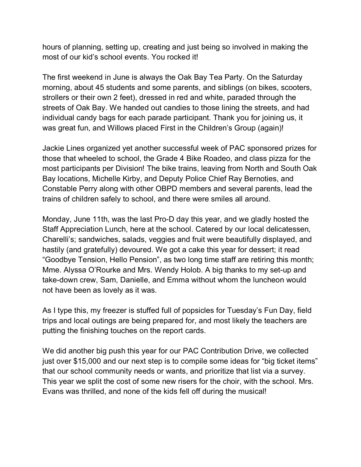hours of planning, setting up, creating and just being so involved in making the most of our kid's school events. You rocked it!

The first weekend in June is always the Oak Bay Tea Party. On the Saturday morning, about 45 students and some parents, and siblings (on bikes, scooters, strollers or their own 2 feet), dressed in red and white, paraded through the streets of Oak Bay. We handed out candies to those lining the streets, and had individual candy bags for each parade participant. Thank you for joining us, it was great fun, and Willows placed First in the Children's Group (again)!

Jackie Lines organized yet another successful week of PAC sponsored prizes for those that wheeled to school, the Grade 4 Bike Roadeo, and class pizza for the most participants per Division! The bike trains, leaving from North and South Oak Bay locations, Michelle Kirby, and Deputy Police Chief Ray Bernoties, and Constable Perry along with other OBPD members and several parents, lead the trains of children safely to school, and there were smiles all around.

Monday, June 11th, was the last Pro-D day this year, and we gladly hosted the Staff Appreciation Lunch, here at the school. Catered by our local delicatessen, Charelli's; sandwiches, salads, veggies and fruit were beautifully displayed, and hastily (and gratefully) devoured. We got a cake this year for dessert; it read "Goodbye Tension, Hello Pension", as two long time staff are retiring this month; Mme. Alyssa O'Rourke and Mrs. Wendy Holob. A big thanks to my set-up and take-down crew, Sam, Danielle, and Emma without whom the luncheon would not have been as lovely as it was.

As I type this, my freezer is stuffed full of popsicles for Tuesday's Fun Day, field trips and local outings are being prepared for, and most likely the teachers are putting the finishing touches on the report cards.

We did another big push this year for our PAC Contribution Drive, we collected just over \$15,000 and our next step is to compile some ideas for "big ticket items" that our school community needs or wants, and prioritize that list via a survey. This year we split the cost of some new risers for the choir, with the school. Mrs. Evans was thrilled, and none of the kids fell off during the musical!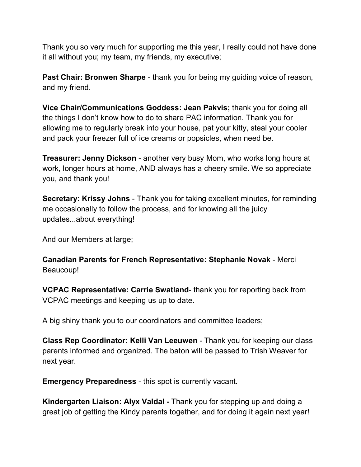Thank you so very much for supporting me this year, I really could not have done it all without you; my team, my friends, my executive;

**Past Chair: Bronwen Sharpe** - thank you for being my guiding voice of reason, and my friend.

**Vice Chair/Communications Goddess: Jean Pakvis;** thank you for doing all the things I don't know how to do to share PAC information. Thank you for allowing me to regularly break into your house, pat your kitty, steal your cooler and pack your freezer full of ice creams or popsicles, when need be.

**Treasurer: Jenny Dickson** - another very busy Mom, who works long hours at work, longer hours at home, AND always has a cheery smile. We so appreciate you, and thank you!

**Secretary: Krissy Johns** - Thank you for taking excellent minutes, for reminding me occasionally to follow the process, and for knowing all the juicy updates...about everything!

And our Members at large;

**Canadian Parents for French Representative: Stephanie Novak** - Merci Beaucoup!

**VCPAC Representative: Carrie Swatland**- thank you for reporting back from VCPAC meetings and keeping us up to date.

A big shiny thank you to our coordinators and committee leaders;

**Class Rep Coordinator: Kelli Van Leeuwen** - Thank you for keeping our class parents informed and organized. The baton will be passed to Trish Weaver for next year.

**Emergency Preparedness** - this spot is currently vacant.

**Kindergarten Liaison: Alyx Valdal -** Thank you for stepping up and doing a great job of getting the Kindy parents together, and for doing it again next year!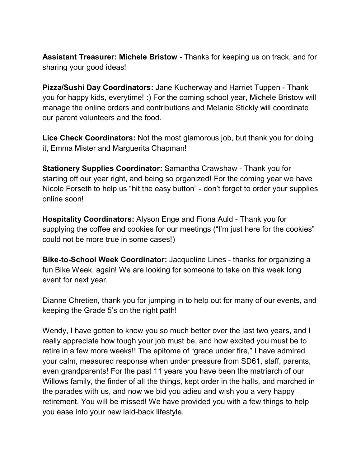**Assistant Treasurer: Michele Bristow** - Thanks for keeping us on track, and for sharing your good ideas!

**Pizza/Sushi Day Coordinators:** Jane Kucherway and Harriet Tuppen - Thank you for happy kids, everytime! :) For the coming school year, Michele Bristow will manage the online orders and contributions and Melanie Stickly will coordinate our parent volunteers and the food.

**Lice Check Coordinators:** Not the most glamorous job, but thank you for doing it, Emma Mister and Marguerita Chapman!

**Stationery Supplies Coordinator:** Samantha Crawshaw - Thank you for starting off our year right, and being so organized! For the coming year we have Nicole Forseth to help us "hit the easy button" - don't forget to order your supplies online soon!

**Hospitality Coordinators:** Alyson Enge and Fiona Auld - Thank you for supplying the coffee and cookies for our meetings ("I'm just here for the cookies" could not be more true in some cases!)

**Bike-to-School Week Coordinator:** Jacqueline Lines - thanks for organizing a fun Bike Week, again! We are looking for someone to take on this week long event for next year.

Dianne Chretien, thank you for jumping in to help out for many of our events, and keeping the Grade 5's on the right path!

Wendy, I have gotten to know you so much better over the last two years, and I really appreciate how tough your job must be, and how excited you must be to retire in a few more weeks!! The epitome of "grace under fire," I have admired your calm, measured response when under pressure from SD61, staff, parents, even grandparents! For the past 11 years you have been the matriarch of our Willows family, the finder of all the things, kept order in the halls, and marched in the parades with us, and now we bid you adieu and wish you a very happy retirement. You will be missed! We have provided you with a few things to help you ease into your new laid-back lifestyle.